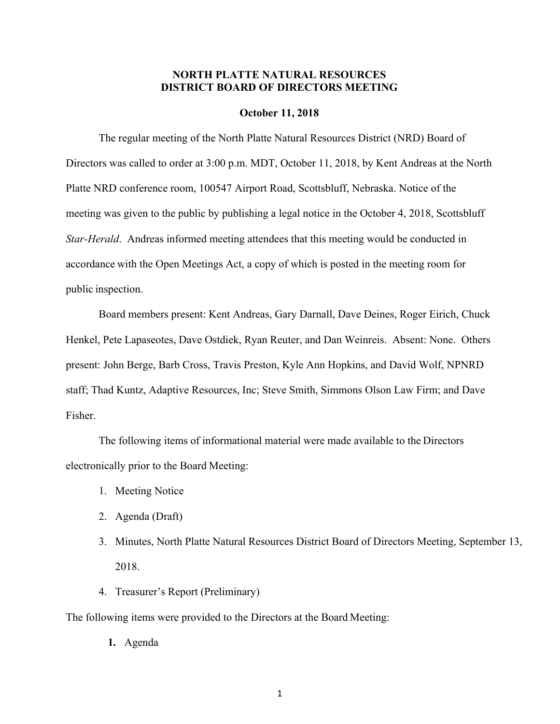## **NORTH PLATTE NATURAL RESOURCES DISTRICT BOARD OF DIRECTORS MEETING**

#### **October 11, 2018**

The regular meeting of the North Platte Natural Resources District (NRD) Board of Directors was called to order at 3:00 p.m. MDT, October 11, 2018, by Kent Andreas at the North Platte NRD conference room, 100547 Airport Road, Scottsbluff, Nebraska. Notice of the meeting was given to the public by publishing a legal notice in the October 4, 2018, Scottsbluff *Star-Herald*. Andreas informed meeting attendees that this meeting would be conducted in accordance with the Open Meetings Act, a copy of which is posted in the meeting room for public inspection.

Board members present: Kent Andreas, Gary Darnall, Dave Deines, Roger Eirich, Chuck Henkel, Pete Lapaseotes, Dave Ostdiek, Ryan Reuter, and Dan Weinreis. Absent: None. Others present: John Berge, Barb Cross, Travis Preston, Kyle Ann Hopkins, and David Wolf, NPNRD staff; Thad Kuntz, Adaptive Resources, Inc; Steve Smith, Simmons Olson Law Firm; and Dave Fisher.

The following items of informational material were made available to the Directors electronically prior to the Board Meeting:

- 1. Meeting Notice
- 2. Agenda (Draft)
- 3. Minutes, North Platte Natural Resources District Board of Directors Meeting, September 13, 2018.
- 4. Treasurer's Report (Preliminary)

The following items were provided to the Directors at the Board Meeting:

**1.** Agenda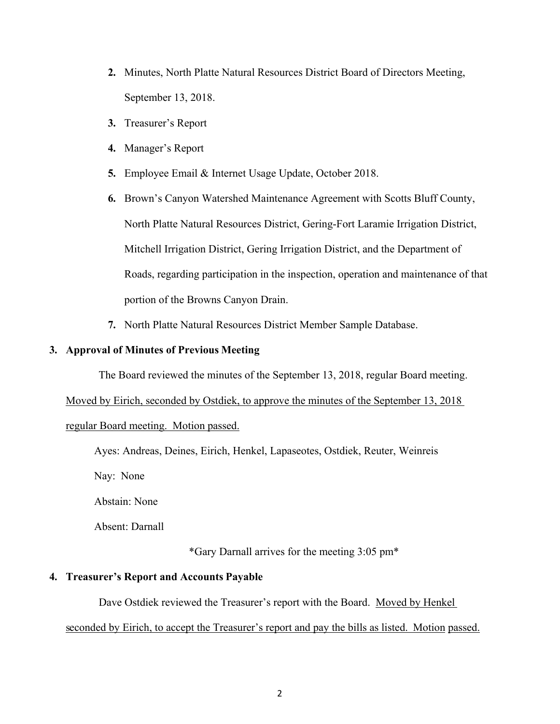- **2.** Minutes, North Platte Natural Resources District Board of Directors Meeting, September 13, 2018.
- **3.** Treasurer's Report
- **4.** Manager's Report
- **5.** Employee Email & Internet Usage Update, October 2018.

**6.** Brown's Canyon Watershed Maintenance Agreement with Scotts Bluff County, North Platte Natural Resources District, Gering-Fort Laramie Irrigation District, Mitchell Irrigation District, Gering Irrigation District, and the Department of Roads, regarding participation in the inspection, operation and maintenance of that portion of the Browns Canyon Drain.

**7.** North Platte Natural Resources District Member Sample Database.

## **3. Approval of Minutes of Previous Meeting**

The Board reviewed the minutes of the September 13, 2018, regular Board meeting.

Moved by Eirich, seconded by Ostdiek, to approve the minutes of the September 13, 2018

regular Board meeting. Motion passed.

Ayes: Andreas, Deines, Eirich, Henkel, Lapaseotes, Ostdiek, Reuter, Weinreis

Nay: None

Abstain: None

Absent: Darnall

\*Gary Darnall arrives for the meeting 3:05 pm\*

### **4. Treasurer's Report and Accounts Payable**

Dave Ostdiek reviewed the Treasurer's report with the Board. Moved by Henkel

seconded by Eirich, to accept the Treasurer's report and pay the bills as listed. Motion passed.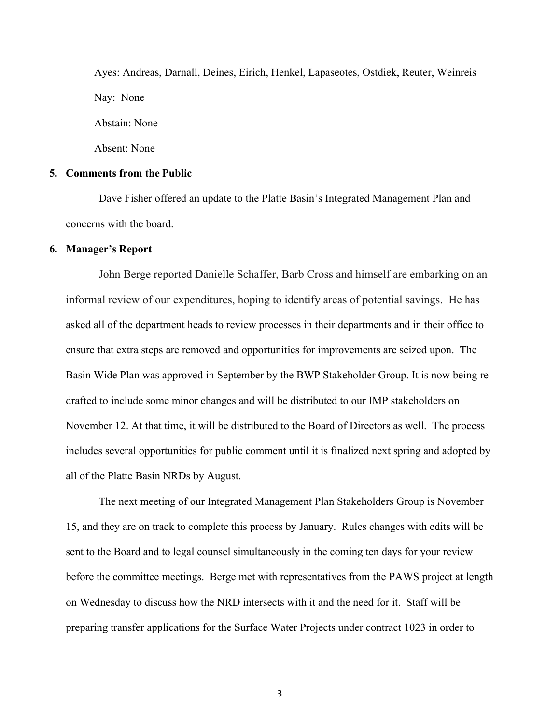Ayes: Andreas, Darnall, Deines, Eirich, Henkel, Lapaseotes, Ostdiek, Reuter, Weinreis Nay: None Abstain: None Absent: None

## **5. Comments from the Public**

Dave Fisher offered an update to the Platte Basin's Integrated Management Plan and concerns with the board.

### **6. Manager's Report**

John Berge reported Danielle Schaffer, Barb Cross and himself are embarking on an informal review of our expenditures, hoping to identify areas of potential savings. He has asked all of the department heads to review processes in their departments and in their office to ensure that extra steps are removed and opportunities for improvements are seized upon. The Basin Wide Plan was approved in September by the BWP Stakeholder Group. It is now being redrafted to include some minor changes and will be distributed to our IMP stakeholders on November 12. At that time, it will be distributed to the Board of Directors as well. The process includes several opportunities for public comment until it is finalized next spring and adopted by all of the Platte Basin NRDs by August.

The next meeting of our Integrated Management Plan Stakeholders Group is November 15, and they are on track to complete this process by January. Rules changes with edits will be sent to the Board and to legal counsel simultaneously in the coming ten days for your review before the committee meetings. Berge met with representatives from the PAWS project at length on Wednesday to discuss how the NRD intersects with it and the need for it. Staff will be preparing transfer applications for the Surface Water Projects under contract 1023 in order to

3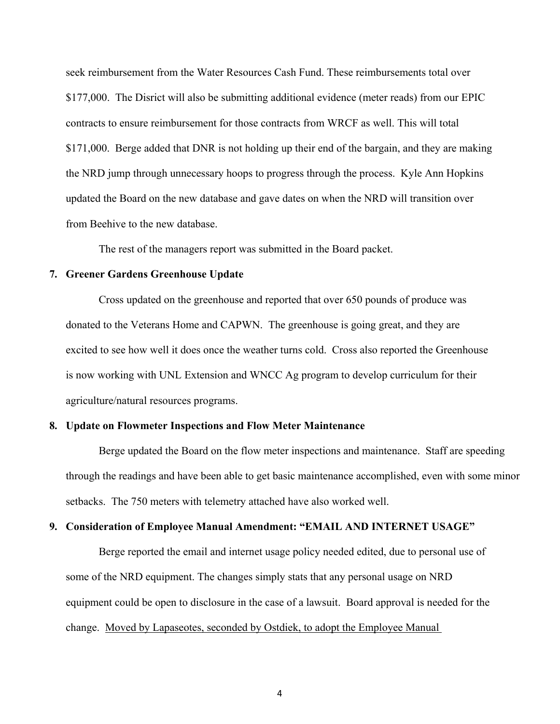seek reimbursement from the Water Resources Cash Fund. These reimbursements total over \$177,000. The Disrict will also be submitting additional evidence (meter reads) from our EPIC contracts to ensure reimbursement for those contracts from WRCF as well. This will total \$171,000. Berge added that DNR is not holding up their end of the bargain, and they are making the NRD jump through unnecessary hoops to progress through the process. Kyle Ann Hopkins updated the Board on the new database and gave dates on when the NRD will transition over from Beehive to the new database.

The rest of the managers report was submitted in the Board packet.

## **7. Greener Gardens Greenhouse Update**

Cross updated on the greenhouse and reported that over 650 pounds of produce was donated to the Veterans Home and CAPWN. The greenhouse is going great, and they are excited to see how well it does once the weather turns cold. Cross also reported the Greenhouse is now working with UNL Extension and WNCC Ag program to develop curriculum for their agriculture/natural resources programs.

## **8. Update on Flowmeter Inspections and Flow Meter Maintenance**

Berge updated the Board on the flow meter inspections and maintenance. Staff are speeding through the readings and have been able to get basic maintenance accomplished, even with some minor setbacks. The 750 meters with telemetry attached have also worked well.

#### **9. Consideration of Employee Manual Amendment: "EMAIL AND INTERNET USAGE"**

Berge reported the email and internet usage policy needed edited, due to personal use of some of the NRD equipment. The changes simply stats that any personal usage on NRD equipment could be open to disclosure in the case of a lawsuit. Board approval is needed for the change. Moved by Lapaseotes, seconded by Ostdiek, to adopt the Employee Manual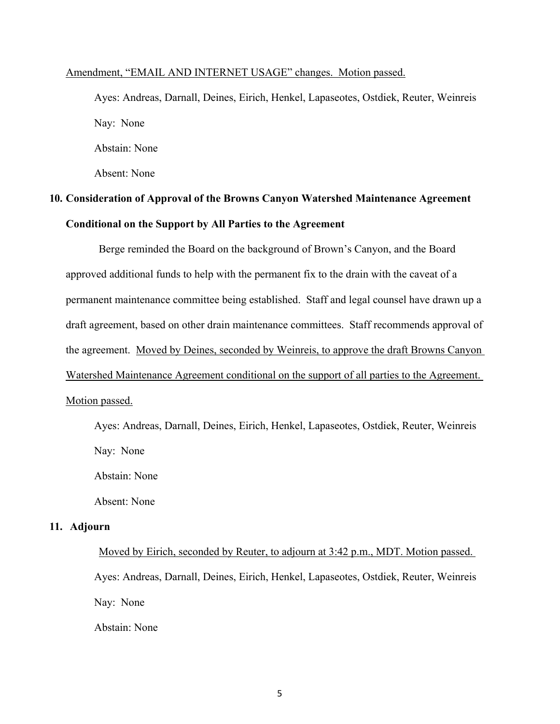### Amendment, "EMAIL AND INTERNET USAGE" changes. Motion passed.

Ayes: Andreas, Darnall, Deines, Eirich, Henkel, Lapaseotes, Ostdiek, Reuter, Weinreis Nay: None Abstain: None

Absent: None

# **10. Consideration of Approval of the Browns Canyon Watershed Maintenance Agreement Conditional on the Support by All Parties to the Agreement**

Berge reminded the Board on the background of Brown's Canyon, and the Board approved additional funds to help with the permanent fix to the drain with the caveat of a permanent maintenance committee being established. Staff and legal counsel have drawn up a draft agreement, based on other drain maintenance committees. Staff recommends approval of the agreement. Moved by Deines, seconded by Weinreis, to approve the draft Browns Canyon Watershed Maintenance Agreement conditional on the support of all parties to the Agreement. Motion passed.

Ayes: Andreas, Darnall, Deines, Eirich, Henkel, Lapaseotes, Ostdiek, Reuter, Weinreis Nay: None

Abstain: None

Absent: None

## **11. Adjourn**

Moved by Eirich, seconded by Reuter, to adjourn at 3:42 p.m., MDT. Motion passed. Ayes: Andreas, Darnall, Deines, Eirich, Henkel, Lapaseotes, Ostdiek, Reuter, Weinreis Nay: None Abstain: None

5